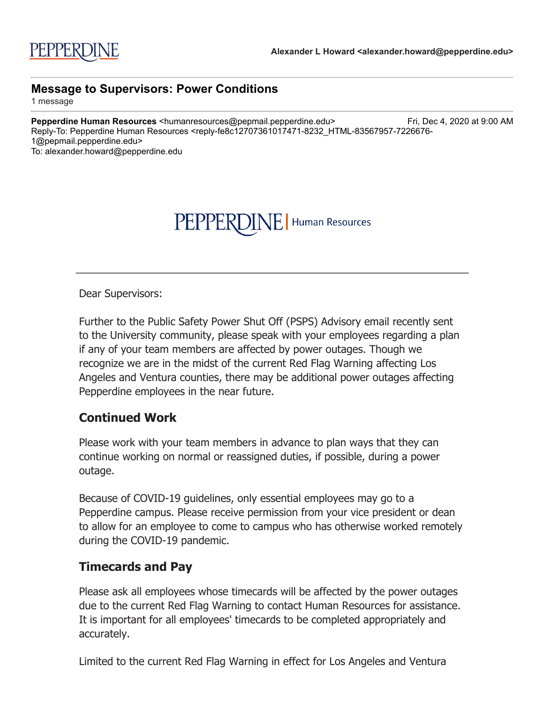## PEPPERDINE | Human Resources

Dear Supervisors:

Further to the Public Safety Power Shut Off (PSPS) Advisory email recently sent to the University community, please speak with your employees regarding a plan if any of your team members are affected by power outages. Though we recognize we are in the midst of the current Red Flag Warning affecting Los Angeles and Ventura counties, there may be additional power outages affecting Pepperdine employees in the near future.

## **Continued Work**

Please work with your team members in advance to plan ways that they can continue working on normal or reassigned duties, if possible, during a power outage.

Because of COVID-19 guidelines, only essential employees may go to a Pepperdine campus. Please receive permission from your vice president or dean to allow for an employee to come to campus who has otherwise worked remotely during the COVID-19 pandemic.

## **Timecards and Pay**

Please ask all employees whose timecards will be affected by the power outages due to the current Red Flag Warning to contact Human Resources for assistance. It is important for all employees' timecards to be completed appropriately and accurately.

Limited to the current Red Flag Warning in effect for Los Angeles and Ventura